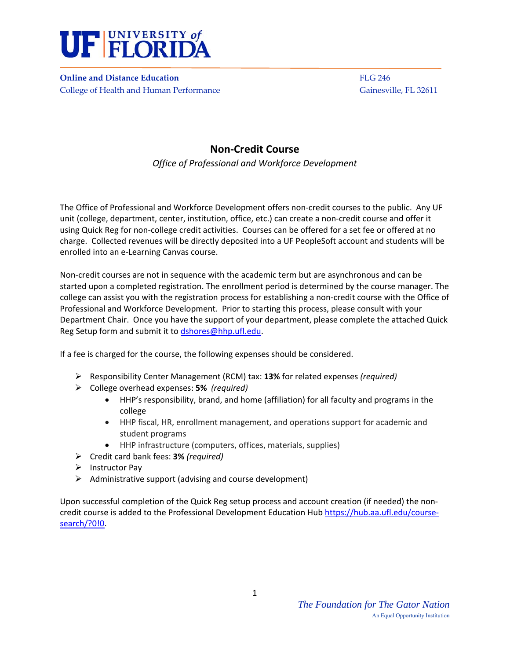

**Online** and Distance Education *Butcherse Education* *Butcherse Education Butcherse Education Butcherse Education* College of Health and Human Performance Gainesville, FL 32611

# **Non‐Credit Course**

*Office of Professional and Workforce Development* 

The Office of Professional and Workforce Development offers non-credit courses to the public. Any UF unit (college, department, center, institution, office, etc.) can create a non‐credit course and offer it using Quick Reg for non‐college credit activities. Courses can be offered for a set fee or offered at no charge. Collected revenues will be directly deposited into a UF PeopleSoft account and students will be enrolled into an e‐Learning Canvas course.

Non-credit courses are not in sequence with the academic term but are asynchronous and can be started upon a completed registration. The enrollment period is determined by the course manager. The college can assist you with the registration process for establishing a non‐credit course with the Office of Professional and Workforce Development. Prior to starting this process, please consult with your Department Chair. Once you have the support of your department, please complete the attached Quick Reg Setup form and submit it to dshores@hhp.ufl.edu.

If a fee is charged for the course, the following expenses should be considered.

- Responsibility Center Management (RCM) tax: **13%** for related expenses *(required)*
- College overhead expenses: **5%** *(required)* 
	- HHP's responsibility, brand, and home (affiliation) for all faculty and programs in the college
	- HHP fiscal, HR, enrollment management, and operations support for academic and student programs
	- HHP infrastructure (computers, offices, materials, supplies)
- Credit card bank fees: **3%** *(required)*
- $\triangleright$  Instructor Pay
- $\triangleright$  Administrative support (advising and course development)

Upon successful completion of the Quick Reg setup process and account creation (if needed) the non‐ credit course is added to the Professional Development Education Hub https://hub.aa.ufl.edu/coursesearch/?0!0.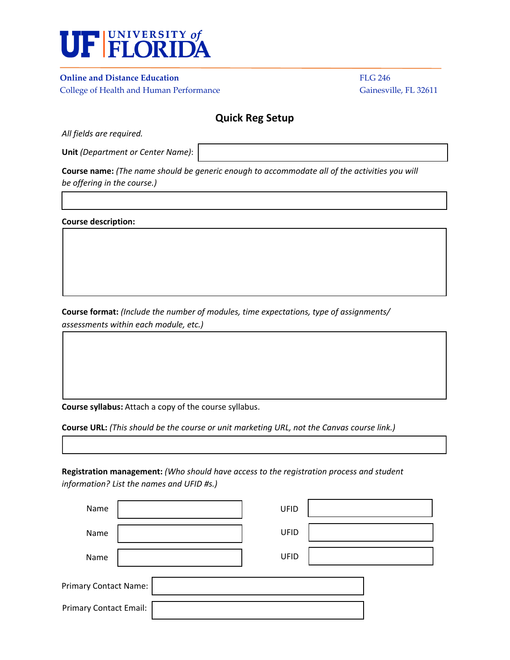

## **Online and Distance Education** FLG 246

College of Health and Human Performance Gainesville, FL 32611

## **Quick Reg Setup**

*All fields are required.* 

**Unit** *(Department or Center Name)*:

**Course name:** *(The name should be generic enough to accommodate all of the activities you will be offering in the course.)* 

**Course description:**

**Course format:** *(Include the number of modules, time expectations, type of assignments/ assessments within each module, etc.)*

**Course syllabus:** Attach a copy of the course syllabus.

**Course URL:** *(This should be the course or unit marketing URL, not the Canvas course link.)* 

**Registration management:** *(Who should have access to the registration process and student information? List the names and UFID #s.)* 

| Name                          |  | UFID |  |  |  |
|-------------------------------|--|------|--|--|--|
| Name                          |  | UFID |  |  |  |
| Name                          |  | UFID |  |  |  |
| <b>Primary Contact Name:</b>  |  |      |  |  |  |
| <b>Primary Contact Email:</b> |  |      |  |  |  |